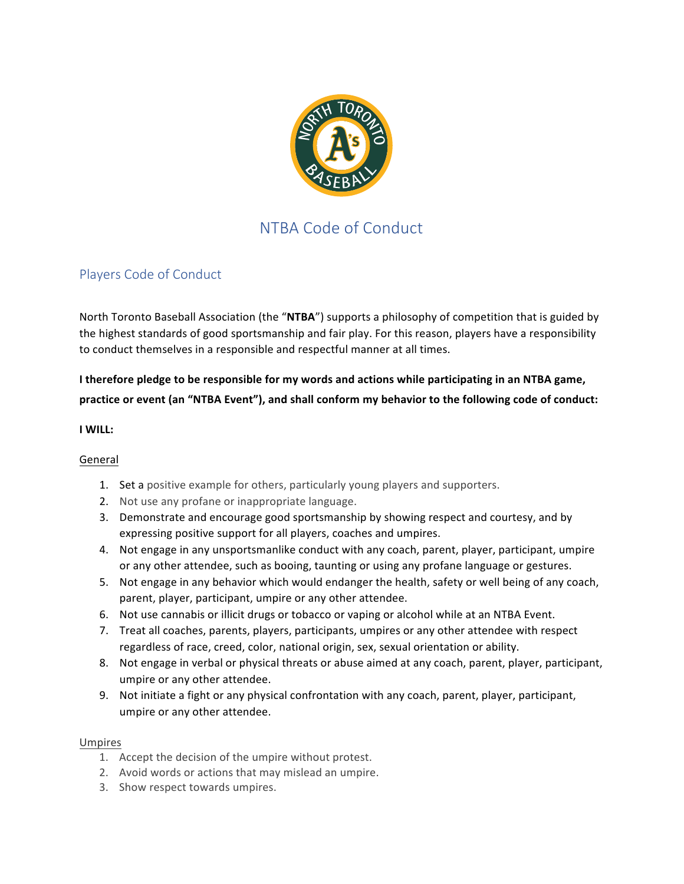

# NTBA Code of Conduct

# Players Code of Conduct

North Toronto Baseball Association (the "NTBA") supports a philosophy of competition that is guided by the highest standards of good sportsmanship and fair play. For this reason, players have a responsibility to conduct themselves in a responsible and respectful manner at all times.

# I therefore pledge to be responsible for my words and actions while participating in an NTBA game, practice or event (an "NTBA Event"), and shall conform my behavior to the following code of conduct:

## **I WILL:**

## General

- 1. Set a positive example for others, particularly young players and supporters.
- 2. Not use any profane or inappropriate language.
- 3. Demonstrate and encourage good sportsmanship by showing respect and courtesy, and by expressing positive support for all players, coaches and umpires.
- 4. Not engage in any unsportsmanlike conduct with any coach, parent, player, participant, umpire or any other attendee, such as booing, taunting or using any profane language or gestures.
- 5. Not engage in any behavior which would endanger the health, safety or well being of any coach, parent, player, participant, umpire or any other attendee.
- 6. Not use cannabis or illicit drugs or tobacco or vaping or alcohol while at an NTBA Event.
- 7. Treat all coaches, parents, players, participants, umpires or any other attendee with respect regardless of race, creed, color, national origin, sex, sexual orientation or ability.
- 8. Not engage in verbal or physical threats or abuse aimed at any coach, parent, player, participant, umpire or any other attendee.
- 9. Not initiate a fight or any physical confrontation with any coach, parent, player, participant, umpire or any other attendee.

### Umpires

- 1. Accept the decision of the umpire without protest.
- 2. Avoid words or actions that may mislead an umpire.
- 3. Show respect towards umpires.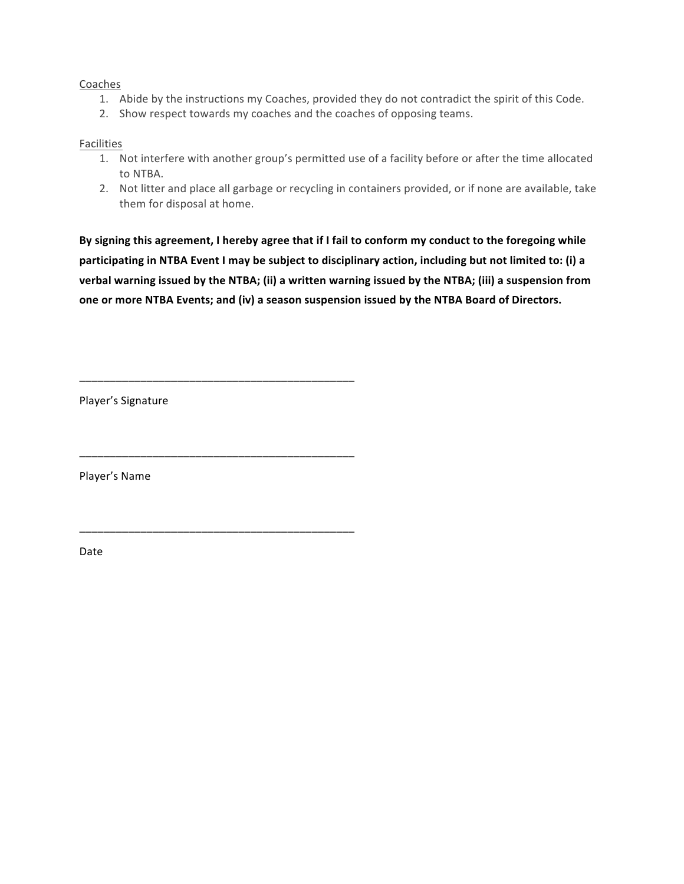### Coaches

- 1. Abide by the instructions my Coaches, provided they do not contradict the spirit of this Code.
- 2. Show respect towards my coaches and the coaches of opposing teams.

#### Facilities

- 1. Not interfere with another group's permitted use of a facility before or after the time allocated to NTBA.
- 2. Not litter and place all garbage or recycling in containers provided, or if none are available, take them for disposal at home.

By signing this agreement, I hereby agree that if I fail to conform my conduct to the foregoing while participating in NTBA Event I may be subject to disciplinary action, including but not limited to: (i) a verbal warning issued by the NTBA; (ii) a written warning issued by the NTBA; (iii) a suspension from one or more NTBA Events; and (iv) a season suspension issued by the NTBA Board of Directors.

Player's Signature

\_\_\_\_\_\_\_\_\_\_\_\_\_\_\_\_\_\_\_\_\_\_\_\_\_\_\_\_\_\_\_\_\_\_\_\_\_\_\_\_\_\_\_\_\_

\_\_\_\_\_\_\_\_\_\_\_\_\_\_\_\_\_\_\_\_\_\_\_\_\_\_\_\_\_\_\_\_\_\_\_\_\_\_\_\_\_\_\_\_\_

\_\_\_\_\_\_\_\_\_\_\_\_\_\_\_\_\_\_\_\_\_\_\_\_\_\_\_\_\_\_\_\_\_\_\_\_\_\_\_\_\_\_\_\_\_

Player's Name

Date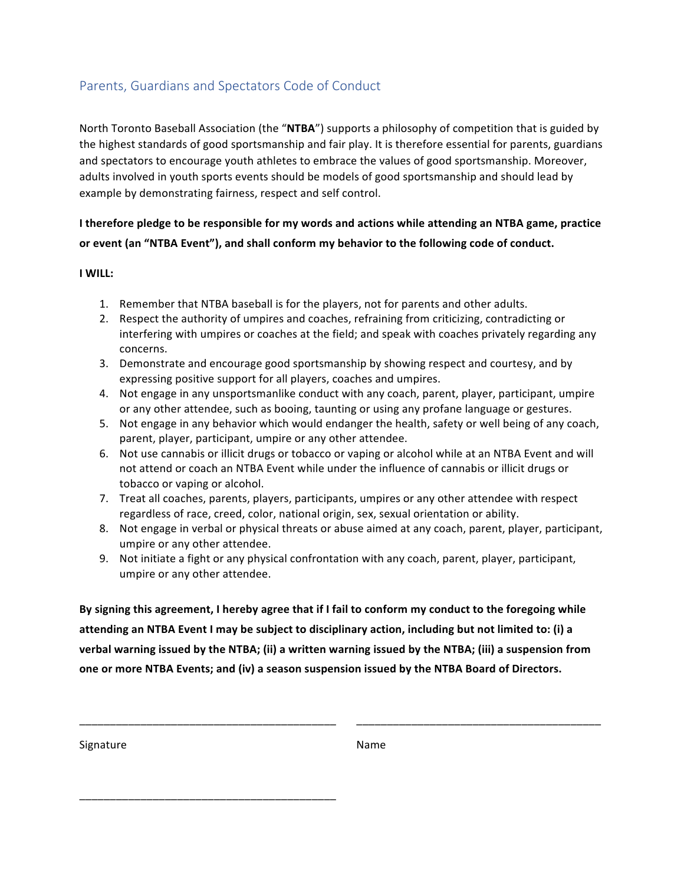# Parents, Guardians and Spectators Code of Conduct

North Toronto Baseball Association (the "NTBA") supports a philosophy of competition that is guided by the highest standards of good sportsmanship and fair play. It is therefore essential for parents, guardians and spectators to encourage youth athletes to embrace the values of good sportsmanship. Moreover, adults involved in youth sports events should be models of good sportsmanship and should lead by example by demonstrating fairness, respect and self control.

I therefore pledge to be responsible for my words and actions while attending an NTBA game, practice or event (an "NTBA Event"), and shall conform my behavior to the following code of conduct.

### **I WILL:**

- 1. Remember that NTBA baseball is for the players, not for parents and other adults.
- 2. Respect the authority of umpires and coaches, refraining from criticizing, contradicting or interfering with umpires or coaches at the field; and speak with coaches privately regarding any concerns.
- 3. Demonstrate and encourage good sportsmanship by showing respect and courtesy, and by expressing positive support for all players, coaches and umpires.
- 4. Not engage in any unsportsmanlike conduct with any coach, parent, player, participant, umpire or any other attendee, such as booing, taunting or using any profane language or gestures.
- 5. Not engage in any behavior which would endanger the health, safety or well being of any coach, parent, player, participant, umpire or any other attendee.
- 6. Not use cannabis or illicit drugs or tobacco or vaping or alcohol while at an NTBA Event and will not attend or coach an NTBA Event while under the influence of cannabis or illicit drugs or tobacco or vaping or alcohol.
- 7. Treat all coaches, parents, players, participants, umpires or any other attendee with respect regardless of race, creed, color, national origin, sex, sexual orientation or ability.
- 8. Not engage in verbal or physical threats or abuse aimed at any coach, parent, player, participant, umpire or any other attendee.
- 9. Not initiate a fight or any physical confrontation with any coach, parent, player, participant, umpire or any other attendee.

By signing this agreement, I hereby agree that if I fail to conform my conduct to the foregoing while attending an NTBA Event I may be subject to disciplinary action, including but not limited to: (i) a verbal warning issued by the NTBA; (ii) a written warning issued by the NTBA; (iii) a suspension from one or more NTBA Events; and (iv) a season suspension issued by the NTBA Board of Directors.

\_\_\_\_\_\_\_\_\_\_\_\_\_\_\_\_\_\_\_\_\_\_\_\_\_\_\_\_\_\_\_\_\_\_\_\_\_\_\_\_\_\_ \_\_\_\_\_\_\_\_\_\_\_\_\_\_\_\_\_\_\_\_\_\_\_\_\_\_\_\_\_\_\_\_\_\_\_\_\_\_\_\_

Signature Name

\_\_\_\_\_\_\_\_\_\_\_\_\_\_\_\_\_\_\_\_\_\_\_\_\_\_\_\_\_\_\_\_\_\_\_\_\_\_\_\_\_\_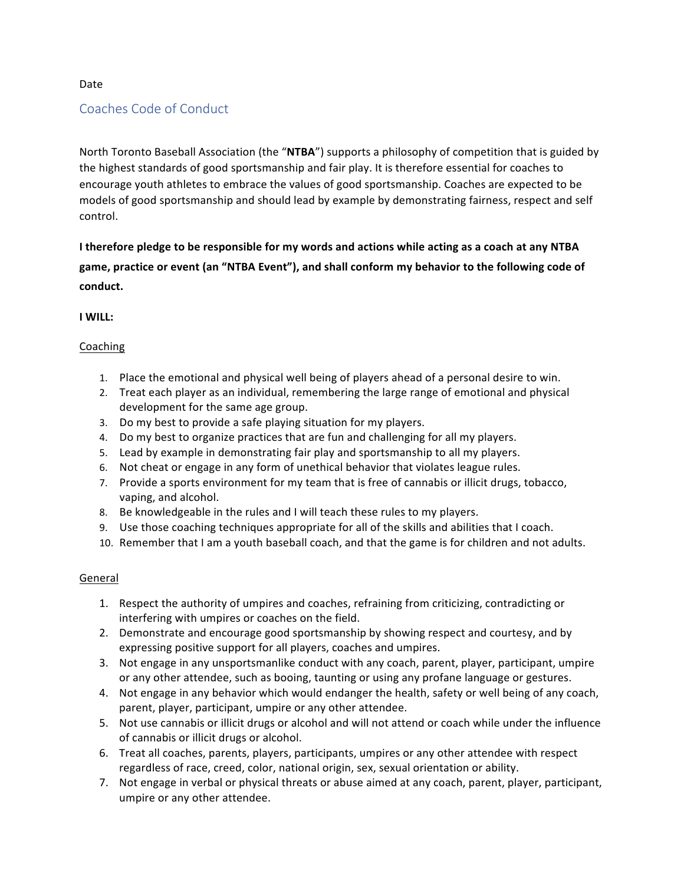#### Date

# Coaches Code of Conduct

North Toronto Baseball Association (the "NTBA") supports a philosophy of competition that is guided by the highest standards of good sportsmanship and fair play. It is therefore essential for coaches to encourage youth athletes to embrace the values of good sportsmanship. Coaches are expected to be models of good sportsmanship and should lead by example by demonstrating fairness, respect and self control.

**I** therefore pledge to be responsible for my words and actions while acting as a coach at any NTBA game, practice or event (an "NTBA Event"), and shall conform my behavior to the following code of **conduct.**

### **I WILL:**

### Coaching

- 1. Place the emotional and physical well being of players ahead of a personal desire to win.
- 2. Treat each player as an individual, remembering the large range of emotional and physical development for the same age group.
- 3. Do my best to provide a safe playing situation for my players.
- 4. Do my best to organize practices that are fun and challenging for all my players.
- 5. Lead by example in demonstrating fair play and sportsmanship to all my players.
- 6. Not cheat or engage in any form of unethical behavior that violates league rules.
- 7. Provide a sports environment for my team that is free of cannabis or illicit drugs, tobacco, vaping, and alcohol.
- 8. Be knowledgeable in the rules and I will teach these rules to my players.
- 9. Use those coaching techniques appropriate for all of the skills and abilities that I coach.
- 10. Remember that I am a youth baseball coach, and that the game is for children and not adults.

### General

- 1. Respect the authority of umpires and coaches, refraining from criticizing, contradicting or interfering with umpires or coaches on the field.
- 2. Demonstrate and encourage good sportsmanship by showing respect and courtesy, and by expressing positive support for all players, coaches and umpires.
- 3. Not engage in any unsportsmanlike conduct with any coach, parent, player, participant, umpire or any other attendee, such as booing, taunting or using any profane language or gestures.
- 4. Not engage in any behavior which would endanger the health, safety or well being of any coach, parent, player, participant, umpire or any other attendee.
- 5. Not use cannabis or illicit drugs or alcohol and will not attend or coach while under the influence of cannabis or illicit drugs or alcohol.
- 6. Treat all coaches, parents, players, participants, umpires or any other attendee with respect regardless of race, creed, color, national origin, sex, sexual orientation or ability.
- 7. Not engage in verbal or physical threats or abuse aimed at any coach, parent, player, participant, umpire or any other attendee.